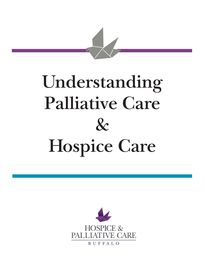

# **Understanding Palliative Care & Hospice Care**

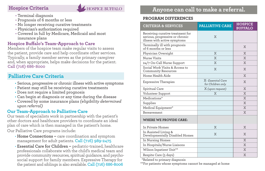#### **Hospice Criteria**



- Terminal diagnosis
- Prognosis of 6 months or less
- No longer receiving curative treatments
- Physician's authorization required
- Covered in full by Medicare, Medicaid and most insurance plans

#### **Hospice Buffalo's Team-Approach to Care**

Members of the hospice team make regular visits to assess the patient, provide care and help coordinate other services. Typically, a family member serves as the primary caregiver and, when appropriate, helps make decisions for the patient. **Call (716) 686-8000**

### **Palliative Care Criteria**

- Serious, progressive or chronic illness with active symptoms
- Patient may still be receiving curative treatments
- Does not require a limited prognosis
- Can begin at diagnosis or any time during the disease
- Covered by some insurance plans *(eligibility determined upon referral)*

#### **Our Team-Approach to Palliative Care**

Our team of specialists work in partnership with the patient's other doctors and healthcare providers to coordinate an ideal plan of care which is then managed in the patient's home.

Our Palliative Care programs include:

- **Home Connections –** care coordination and symptom management for adult patients. **Call (716) 989-2475**
- **Essential Care for Children –** pediatric-trained, healthcare professionals collaborate with the child's medical team and provide community resources, spiritual guidance, and psychosocial support for family members. Expressive Therapy for the patient and siblings is also available. **Call (716) 686-8006**

## **Anyone can call to make a referral.**

#### **PROGRAM DIFFERENCES**

| <b>CRITERIA &amp; SERVICES</b>                                                                      | <b>PALLIATIVE CARE</b>                  | <b>HOSPICE</b><br><b>BUFFALO</b> |
|-----------------------------------------------------------------------------------------------------|-----------------------------------------|----------------------------------|
| Receiving curative treatment for<br>serious, progressive or chronic<br>illness with active symptoms | X                                       |                                  |
| Terminally ill with prognosis<br>of 6 months or less                                                |                                         | X                                |
| Physician Oversight                                                                                 | X                                       | X                                |
| Nurse Visits                                                                                        | $\mathbf{x}$                            | X                                |
| 24/7 On-Call Nurse Support                                                                          | X                                       | X                                |
| Social Work Visits & Access to<br><b>Community Resources</b>                                        | X                                       | X                                |
| Home Health Aide                                                                                    |                                         | X                                |
| <b>Expressive Therapies</b>                                                                         | X - Essential Care<br>for Children only | X                                |
| Spiritual Care                                                                                      | X (upon request)                        | X                                |
| Volunteer Support                                                                                   | X                                       | X                                |
| Medications*                                                                                        |                                         | X                                |
| Supplies                                                                                            |                                         | X                                |
| Medical Equipment*                                                                                  |                                         | X                                |
| Bereavement                                                                                         |                                         | X                                |
| <b>WHERE WE PROVIDE CARE:</b>                                                                       |                                         |                                  |
| In Private Homes                                                                                    | X                                       | X                                |
| In Assisted Living &<br>Developmentally Disabled Homes                                              | X                                       | X                                |
| In Nursing Homes                                                                                    |                                         | X                                |
| In Hospitals/Nurse Liaisons                                                                         |                                         | X                                |
| Wilson Inpatient Unit**                                                                             |                                         | X                                |
| Respite Care (5 days)                                                                               |                                         | X                                |

\*Related to primary diagnosis

\*\*For patients whose symptoms cannot be managed at home